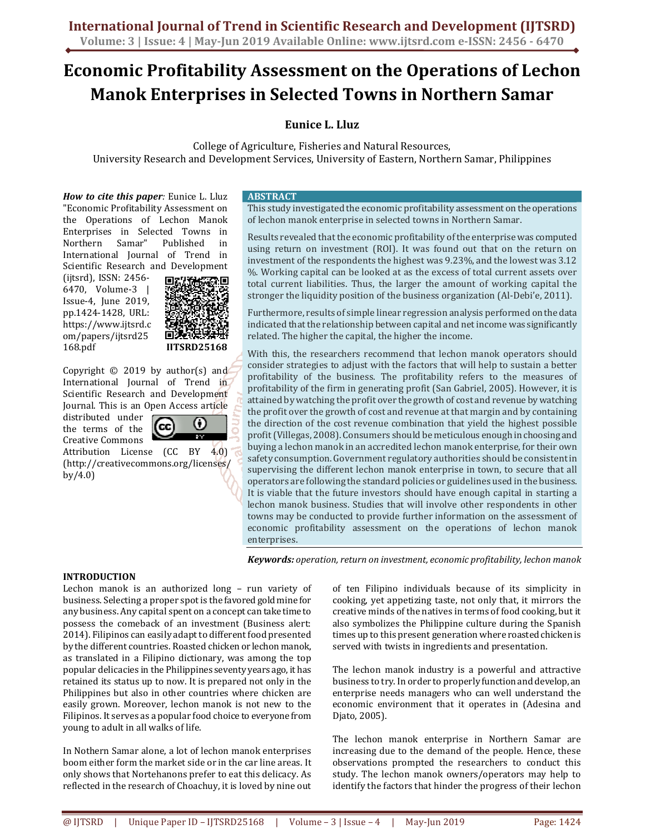# **Economic Profitability Assessment on the Operations of Lechon Manok Enterprises in Selected Towns in Northern Samar**

# **Eunice L. Lluz**

College of Agriculture, Fisheries and Natural Resources, University Research and Development Services, University of Eastern, Northern Samar, Philippines

*How to cite this paper:* Eunice L. Lluz "Economic Profitability Assessment on the Operations of Lechon Manok Enterprises in Selected Towns in Northern Samar" Published in International Journal of Trend in Scientific Research and Development

(ijtsrd), ISSN: 2456- 6470, Volume-3 | Issue-4, June 2019, pp.1424-1428, URL: https://www.ijtsrd.c om/papers/ijtsrd25 168.pdf



 $\bf{G}$ 

Copyright © 2019 by author(s) and International Journal of Trend in Scientific Research and Development Journal. This is an Open Access article

distributed under the terms of the Creative Commons

Attribution License (CC BY 4.0) (http://creativecommons.org/licenses/ by/4.0)

(cc

#### **ABSTRACT**

This study investigated the economic profitability assessment on the operations of lechon manok enterprise in selected towns in Northern Samar.

Results revealed that the economic profitability of the enterprise was computed using return on investment (ROI). It was found out that on the return on investment of the respondents the highest was 9.23%, and the lowest was 3.12 %. Working capital can be looked at as the excess of total current assets over total current liabilities. Thus, the larger the amount of working capital the stronger the liquidity position of the business organization (Al-Debi'e, 2011).

Furthermore, results of simple linear regression analysis performed on the data indicated that the relationship between capital and net income was significantly related. The higher the capital, the higher the income.

With this, the researchers recommend that lechon manok operators should consider strategies to adjust with the factors that will help to sustain a better profitability of the business. The profitability refers to the measures of profitability of the firm in generating profit (San Gabriel, 2005). However, it is attained by watching the profit over the growth of cost and revenue by watching the profit over the growth of cost and revenue at that margin and by containing the direction of the cost revenue combination that yield the highest possible profit (Villegas, 2008). Consumers should be meticulous enough in choosing and buying a lechon manok in an accredited lechon manok enterprise, for their own safety consumption. Government regulatory authorities should be consistent in supervising the different lechon manok enterprise in town, to secure that all operators are following the standard policies or guidelines used in the business. It is viable that the future investors should have enough capital in starting a lechon manok business. Studies that will involve other respondents in other towns may be conducted to provide further information on the assessment of economic profitability assessment on the operations of lechon manok enterprises.

*Keywords: operation, return on investment, economic profitability, lechon manok* 

# **INTRODUCTION**

Lechon manok is an authorized long – run variety of business. Selecting a proper spot is the favored gold mine for any business. Any capital spent on a concept can take time to possess the comeback of an investment (Business alert: 2014). Filipinos can easily adapt to different food presented by the different countries. Roasted chicken or lechon manok, as translated in a Filipino dictionary, was among the top popular delicacies in the Philippines seventy years ago, it has retained its status up to now. It is prepared not only in the Philippines but also in other countries where chicken are easily grown. Moreover, lechon manok is not new to the Filipinos. It serves as a popular food choice to everyone from young to adult in all walks of life.

In Nothern Samar alone, a lot of lechon manok enterprises boom either form the market side or in the car line areas. It only shows that Nortehanons prefer to eat this delicacy. As reflected in the research of Choachuy, it is loved by nine out of ten Filipino individuals because of its simplicity in cooking, yet appetizing taste, not only that, it mirrors the creative minds of the natives in terms of food cooking, but it also symbolizes the Philippine culture during the Spanish times up to this present generation where roasted chicken is served with twists in ingredients and presentation.

The lechon manok industry is a powerful and attractive business to try. In order to properly function and develop, an enterprise needs managers who can well understand the economic environment that it operates in (Adesina and Djato, 2005).

The lechon manok enterprise in Northern Samar are increasing due to the demand of the people. Hence, these observations prompted the researchers to conduct this study. The lechon manok owners/operators may help to identify the factors that hinder the progress of their lechon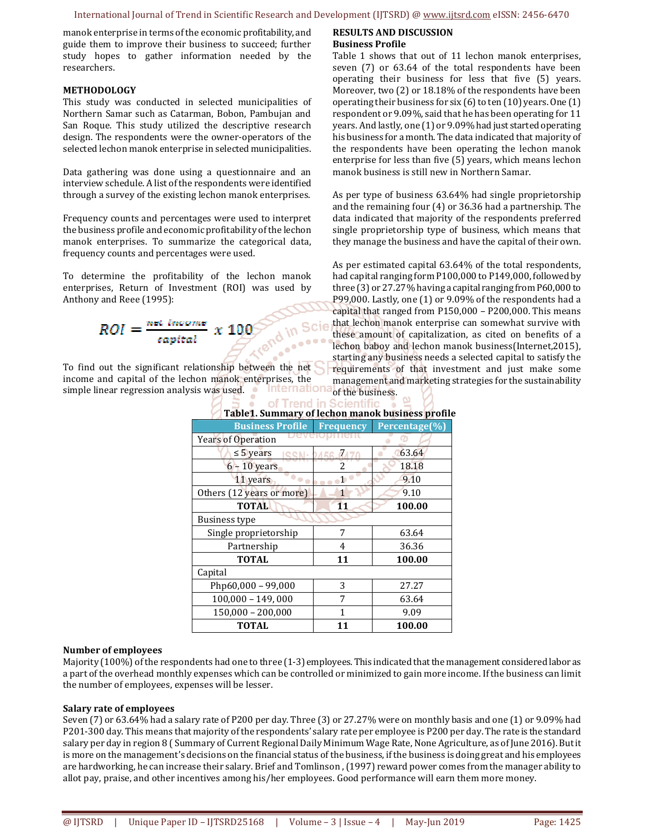**RESULTS AND DISCUSSION** 

manok enterprise in terms of the economic profitability, and guide them to improve their business to succeed; further study hopes to gather information needed by the researchers.

#### **METHODOLOGY**

This study was conducted in selected municipalities of Northern Samar such as Catarman, Bobon, Pambujan and San Roque. This study utilized the descriptive research design. The respondents were the owner-operators of the selected lechon manok enterprise in selected municipalities.

Data gathering was done using a questionnaire and an interview schedule. A list of the respondents were identified through a survey of the existing lechon manok enterprises.

Frequency counts and percentages were used to interpret the business profile and economic profitability of the lechon manok enterprises. To summarize the categorical data, frequency counts and percentages were used.

To determine the profitability of the lechon manok enterprises, Return of Investment (ROI) was used by Anthony and Reee (1995):

$$
ROI = \frac{net income}{capital} \times 100
$$

To find out the significant relationship between the net income and capital of the lechon manok enterprises, the simple linear regression analysis was used. **Internationa** 

| ipiczi paminiary cricenon manon papinebo promi |                                       |               |  |
|------------------------------------------------|---------------------------------------|---------------|--|
| <b>Business Profile</b>                        | Frequency                             | Percentage(%) |  |
| Years of Operation                             |                                       |               |  |
| $\leq$ 5 years                                 | <b>ISSN</b> - <b><i>DA56-RA70</i></b> | 63.64         |  |
| $6 - 10$ years                                 | 2                                     | 18.18         |  |
| 11 years                                       | 1                                     | 9.10          |  |
| Others (12 years or more)                      | 1                                     | 9.10          |  |
| <b>TOTAL</b>                                   | 11                                    | 100.00        |  |
| <b>Business type</b>                           |                                       |               |  |
| Single proprietorship                          | 7                                     | 63.64         |  |
| Partnership                                    | 4                                     | 36.36         |  |
| <b>TOTAL</b>                                   | 11                                    | 100.00        |  |
| Capital                                        |                                       |               |  |
| Php60,000 - 99,000                             | 3                                     | 27.27         |  |
| $100,000 - 149,000$                            | 7                                     | 63.64         |  |
| $150,000 - 200,000$                            | 1                                     | 9.09          |  |
| <b>TOTAL</b>                                   | 11                                    | 100.00        |  |

# of Trend in Scientific **Table1. Summary of lechon manok business profile**

## **Number of employees**

Majority (100%) of the respondents had one to three (1-3) employees. This indicated that the management considered labor as a part of the overhead monthly expenses which can be controlled or minimized to gain more income. If the business can limit the number of employees, expenses will be lesser.

#### **Salary rate of employees**

Seven (7) or 63.64% had a salary rate of P200 per day. Three (3) or 27.27% were on monthly basis and one (1) or 9.09% had P201-300 day. This means that majority of the respondents' salary rate per employee is P200 per day. The rate is the standard salary per day in region 8 ( Summary of Current Regional Daily Minimum Wage Rate, None Agriculture, as of June 2016). But it is more on the management's decisions on the financial status of the business, if the business is doing great and his employees are hardworking, he can increase their salary. Brief and Tomlinson , (1997) reward power comes from the manager ability to allot pay, praise, and other incentives among his/her employees. Good performance will earn them more money.

**Business Profile**  Table 1 shows that out of 11 lechon manok enterprises, seven (7) or 63.64 of the total respondents have been operating their business for less that five (5) years. Moreover, two (2) or 18.18% of the respondents have been operating their business for six (6) to ten (10) years. One (1) respondent or 9.09%, said that he has been operating for 11 years. And lastly, one (1) or 9.09% had just started operating his business for a month. The data indicated that majority of the respondents have been operating the lechon manok enterprise for less than five (5) years, which means lechon manok business is still new in Northern Samar.

As per type of business 63.64% had single proprietorship and the remaining four (4) or 36.36 had a partnership. The data indicated that majority of the respondents preferred single proprietorship type of business, which means that they manage the business and have the capital of their own.

As per estimated capital 63.64% of the total respondents, had capital ranging form P100,000 to P149,000, followed by three (3) or 27.27% having a capital ranging from P60,000 to P99,000. Lastly, one (1) or 9.09% of the respondents had a capital that ranged from P150,000 – P200,000. This means that lechon manok enterprise can somewhat survive with these amount of capitalization, as cited on benefits of a lechon baboy and lechon manok business(Internet,2015), starting any business needs a selected capital to satisfy the requirements of that investment and just make some management and marketing strategies for the sustainability of the business.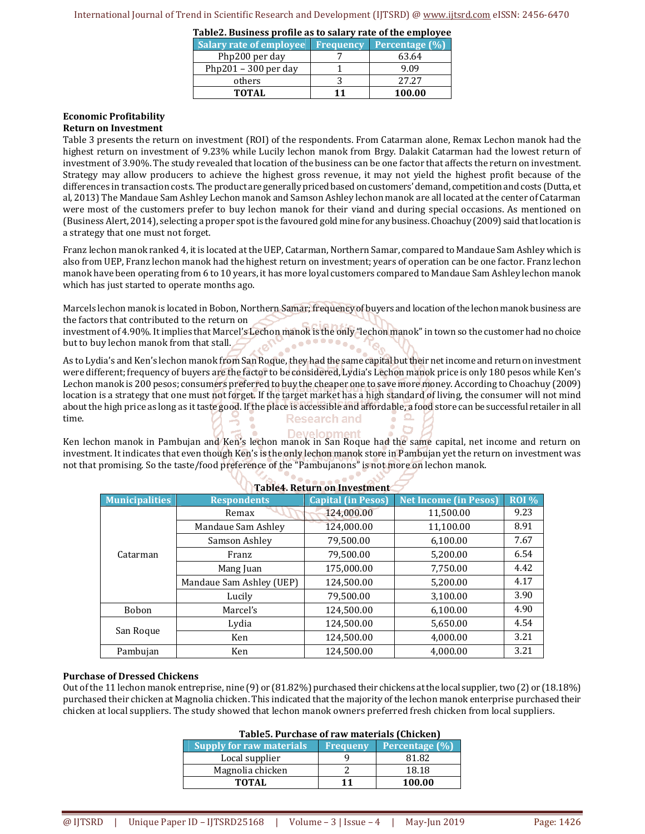**Table2. Business profile as to salary rate of the employee** 

| <b>Salary rate of employee</b> | <b>Frequency</b> | Percentage $(\% )$ |
|--------------------------------|------------------|--------------------|
| Php200 per day                 |                  | 63.64              |
| Php201 – 300 per day           |                  | 9.09               |
| others                         |                  | 2727               |
| TOTAL                          | 11               | 100.00             |

# **Economic Profitability**

# **Return on Investment**

Table 3 presents the return on investment (ROI) of the respondents. From Catarman alone, Remax Lechon manok had the highest return on investment of 9.23% while Lucily lechon manok from Brgy. Dalakit Catarman had the lowest return of investment of 3.90%. The study revealed that location of the business can be one factor that affects the return on investment. Strategy may allow producers to achieve the highest gross revenue, it may not yield the highest profit because of the differences in transaction costs. The product are generally priced based on customers' demand, competition and costs (Dutta, et al, 2013) The Mandaue Sam Ashley Lechon manok and Samson Ashley lechon manok are all located at the center of Catarman were most of the customers prefer to buy lechon manok for their viand and during special occasions. As mentioned on (Business Alert, 2014), selecting a proper spot is the favoured gold mine for any business. Choachuy (2009) said that location is a strategy that one must not forget.

Franz lechon manok ranked 4, it is located at the UEP, Catarman, Northern Samar, compared to Mandaue Sam Ashley which is also from UEP, Franz lechon manok had the highest return on investment; years of operation can be one factor. Franz lechon manok have been operating from 6 to 10 years, it has more loyal customers compared to Mandaue Sam Ashley lechon manok which has just started to operate months ago.

Marcels lechon manok is located in Bobon, Northern Samar; frequency of buyers and location of the lechon manok business are the factors that contributed to the return on

investment of 4.90%. It implies that Marcel's Lechon manok is the only "lechon manok" in town so the customer had no choice<br>but to buy lechon manok from that stall. **CONC** but to buy lechon manok from that stall.

As to Lydia's and Ken's lechon manok from San Roque, they had the same capital but their net income and return on investment were different; frequency of buyers are the factor to be considered, Lydia's Lechon manok price is only 180 pesos while Ken's Lechon manok is 200 pesos; consumers preferred to buy the cheaper one to save more money. According to Choachuy (2009) location is a strategy that one must not forget. If the target market has a high standard of living, the consumer will not mind about the high price as long as it taste good. If the place is accessible and affordable, a food store can be successful retailer in all time. **Research and** 

Ken lechon manok in Pambujan and Ken's lechon manok in San Roque had the same capital, net income and return on investment. It indicates that even though Ken's is the only lechon manok store in Pambujan yet the return on investment was not that promising. So the taste/food preference of the "Pambujanons" is not more on lechon manok.

| Table T. Return on Investment |                          |                           |                              |              |  |
|-------------------------------|--------------------------|---------------------------|------------------------------|--------------|--|
| <b>Municipalities</b>         | <b>Respondents</b>       | <b>Capital (in Pesos)</b> | <b>Net Income (in Pesos)</b> | <b>ROI</b> % |  |
|                               | Remax                    | 124,000.00                | 11,500.00                    | 9.23         |  |
|                               | Mandaue Sam Ashley       | 124.000.00                | 11,100.00                    | 8.91         |  |
|                               | Samson Ashley            | 79,500.00                 | 6.100.00                     | 7.67         |  |
| Catarman                      | Franz                    | 79.500.00                 | 5.200.00                     | 6.54         |  |
|                               | Mang Juan                | 175,000.00                | 7,750.00                     | 4.42         |  |
|                               | Mandaue Sam Ashley (UEP) | 124,500.00                | 5,200.00                     | 4.17         |  |
|                               | Lucily                   | 79,500.00                 | 3,100.00                     | 3.90         |  |
| <b>Bobon</b>                  | Marcel's                 | 124,500.00                | 6,100.00                     | 4.90         |  |
|                               | Lydia                    | 124,500.00                | 5,650.00                     | 4.54         |  |
| San Roque<br>Ken              |                          | 124,500.00                | 4.000.00                     | 3.21         |  |
| Pambujan                      | Ken                      | 124.500.00                | 4.000.00                     | 3.21         |  |

# **Table4. Return on Investment**

#### **Purchase of Dressed Chickens**

Out of the 11 lechon manok entreprise, nine (9) or (81.82%) purchased their chickens at the local supplier, two (2) or (18.18%) purchased their chicken at Magnolia chicken. This indicated that the majority of the lechon manok enterprise purchased their chicken at local suppliers. The study showed that lechon manok owners preferred fresh chicken from local suppliers.

#### **Table5. Purchase of raw materials (Chicken)**

| Supply for raw materials | <b>Frequeny</b> | Percentage (%) |
|--------------------------|-----------------|----------------|
| Local supplier           |                 | 81 82          |
| Magnolia chicken         |                 | 18.18          |
| TOTAL                    |                 | 100.00         |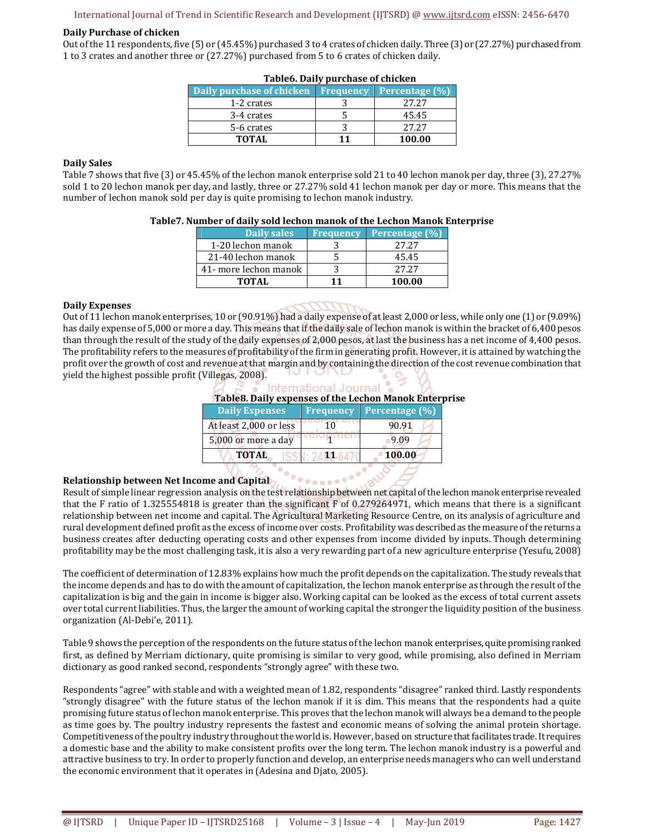# International Journal of Trend in Scientific Research and Development (IJTSRD) @ www.ijtsrd.com eISSN: 2456-6470

#### **Daily Purchase of chicken**

Out of the 11 respondents, five (5) or (45.45%) purchased 3 to 4 crates of chicken daily. Three (3) or (27.27%) purchased from 1 to 3 crates and another three or (27.27%) purchased from 5 to 6 crates of chicken daily.

| Daily purchase of chicken | <b>Frequency</b> | Percentage (%) |  |  |
|---------------------------|------------------|----------------|--|--|
| 1-2 crates                |                  | 2.7.2.7        |  |  |
| 3-4 crates                |                  | 45.45          |  |  |
| 5-6 crates                |                  | 2.7.2.7        |  |  |
| TOTAL                     | 11               | 100.00         |  |  |

#### **Table6. Daily purchase of chicken**

## **Daily Sales**

Table 7 shows that five (3) or 45.45% of the lechon manok enterprise sold 21 to 40 lechon manok per day, three (3), 27.27% sold 1 to 20 lechon manok per day, and lastly, three or 27.27% sold 41 lechon manok per day or more. This means that the number of lechon manok sold per day is quite promising to lechon manok industry.

| Table 7. Number of daily sold lechon manok of the Lechon Manok Enterprise |  |  |  |
|---------------------------------------------------------------------------|--|--|--|
|---------------------------------------------------------------------------|--|--|--|

| Daily sales           | <b>Frequency</b> | Percentage $(\%)$ |
|-----------------------|------------------|-------------------|
| 1-20 lechon manok     |                  | 27.27             |
| 21-40 lechon manok    |                  | 45.45             |
| 41- more lechon manok |                  | 2.7.2.7           |
| TOTAL                 |                  | 100.00            |

#### **Daily Expenses**

Out of 11 lechon manok enterprises, 10 or (90.91%) had a daily expense of at least 2,000 or less, while only one (1) or (9.09%) has daily expense of 5,000 or more a day. This means that if the daily sale of lechon manok is within the bracket of 6,400 pesos than through the result of the study of the daily expenses of 2,000 pesos, at last the business has a net income of 4,400 pesos. The profitability refers to the measures of profitability of the firm in generating profit. However, it is attained by watching the profit over the growth of cost and revenue at that margin and by containing the direction of the cost revenue combination that yield the highest possible profit (Villegas, 2008). וט דטו

| nternational Journa<br>Table8. Daily expenses of the Lechon Manok Enterprise |                  |                |  |
|------------------------------------------------------------------------------|------------------|----------------|--|
| <b>Daily Expenses</b>                                                        | <b>Frequency</b> | Percentage (%) |  |
| At least 2,000 or less                                                       |                  | 90.91          |  |
| 5,000 or more a day                                                          |                  | 9.09           |  |
| <b>TOTAL</b>                                                                 |                  | 100.00         |  |
|                                                                              |                  |                |  |

## **Relationship between Net Income and Capital**

Result of simple linear regression analysis on the test relationship between net capital of the lechon manok enterprise revealed that the F ratio of 1.325554818 is greater than the significant F of 0.279264971, which means that there is a significant relationship between net income and capital. The Agricultural Marketing Resource Centre, on its analysis of agriculture and rural development defined profit as the excess of income over costs. Profitability was described as the measure of the returns a business creates after deducting operating costs and other expenses from income divided by inputs. Though determining profitability may be the most challenging task, it is also a very rewarding part of a new agriculture enterprise (Yesufu, 2008)

<sup>. .</sup> . . . . . . . .

The coefficient of determination of 12.83% explains how much the profit depends on the capitalization. The study reveals that the income depends and has to do with the amount of capitalization, the lechon manok enterprise as through the result of the capitalization is big and the gain in income is bigger also. Working capital can be looked as the excess of total current assets over total current liabilities. Thus, the larger the amount of working capital the stronger the liquidity position of the business organization (Al-Debi'e, 2011).

Table 9 shows the perception of the respondents on the future status of the lechon manok enterprises, quite promising ranked first, as defined by Merriam dictionary, quite promising is similar to very good, while promising, also defined in Merriam dictionary as good ranked second, respondents "strongly agree" with these two.

Respondents "agree" with stable and with a weighted mean of 1.82, respondents "disagree" ranked third. Lastly respondents "strongly disagree" with the future status of the lechon manok if it is dim. This means that the respondents had a quite promising future status of lechon manok enterprise. This proves that the lechon manok will always be a demand to the people as time goes by. The poultry industry represents the fastest and economic means of solving the animal protein shortage. Competitiveness of the poultry industry throughout the world is. However, based on structure that facilitates trade. It requires a domestic base and the ability to make consistent profits over the long term. The lechon manok industry is a powerful and attractive business to try. In order to properly function and develop, an enterprise needs managers who can well understand the economic environment that it operates in (Adesina and Djato, 2005).